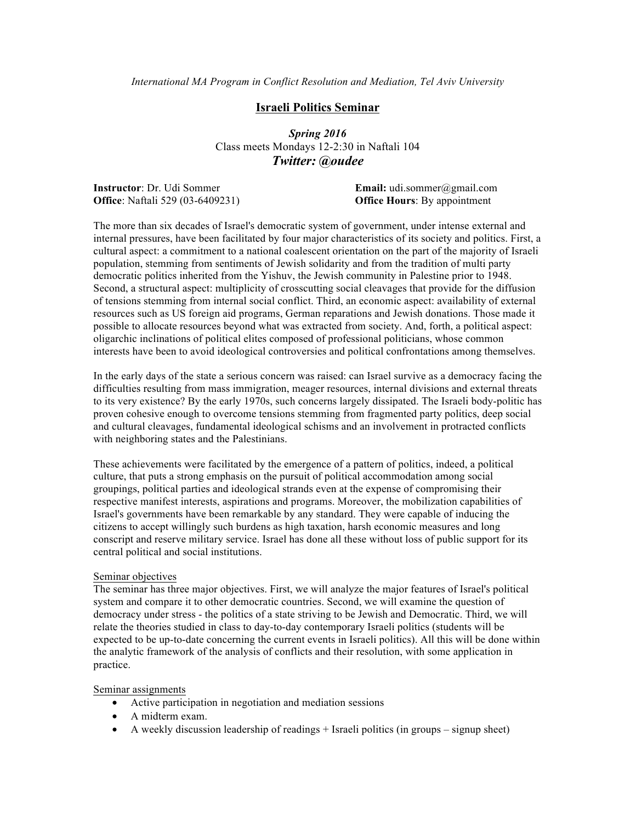## **Israeli Politics Seminar**

*Spring 2016* Class meets Mondays 12-2:30 in Naftali 104 *Twitter: @oudee*

**Office**: Naftali 529 (03-6409231) **Office Hours**: By appointment

**Instructor**: Dr. Udi Sommer **Email:** udi.sommer@gmail.com

The more than six decades of Israel's democratic system of government, under intense external and internal pressures, have been facilitated by four major characteristics of its society and politics. First, a cultural aspect: a commitment to a national coalescent orientation on the part of the majority of Israeli population, stemming from sentiments of Jewish solidarity and from the tradition of multi party democratic politics inherited from the Yishuv, the Jewish community in Palestine prior to 1948. Second, a structural aspect: multiplicity of crosscutting social cleavages that provide for the diffusion of tensions stemming from internal social conflict. Third, an economic aspect: availability of external resources such as US foreign aid programs, German reparations and Jewish donations. Those made it possible to allocate resources beyond what was extracted from society. And, forth, a political aspect: oligarchic inclinations of political elites composed of professional politicians, whose common interests have been to avoid ideological controversies and political confrontations among themselves.

In the early days of the state a serious concern was raised: can Israel survive as a democracy facing the difficulties resulting from mass immigration, meager resources, internal divisions and external threats to its very existence? By the early 1970s, such concerns largely dissipated. The Israeli body-politic has proven cohesive enough to overcome tensions stemming from fragmented party politics, deep social and cultural cleavages, fundamental ideological schisms and an involvement in protracted conflicts with neighboring states and the Palestinians.

These achievements were facilitated by the emergence of a pattern of politics, indeed, a political culture, that puts a strong emphasis on the pursuit of political accommodation among social groupings, political parties and ideological strands even at the expense of compromising their respective manifest interests, aspirations and programs. Moreover, the mobilization capabilities of Israel's governments have been remarkable by any standard. They were capable of inducing the citizens to accept willingly such burdens as high taxation, harsh economic measures and long conscript and reserve military service. Israel has done all these without loss of public support for its central political and social institutions.

#### Seminar objectives

The seminar has three major objectives. First, we will analyze the major features of Israel's political system and compare it to other democratic countries. Second, we will examine the question of democracy under stress - the politics of a state striving to be Jewish and Democratic. Third, we will relate the theories studied in class to day-to-day contemporary Israeli politics (students will be expected to be up-to-date concerning the current events in Israeli politics). All this will be done within the analytic framework of the analysis of conflicts and their resolution, with some application in practice.

#### Seminar assignments

- Active participation in negotiation and mediation sessions
- A midterm exam.
- A weekly discussion leadership of readings + Israeli politics (in groups signup sheet)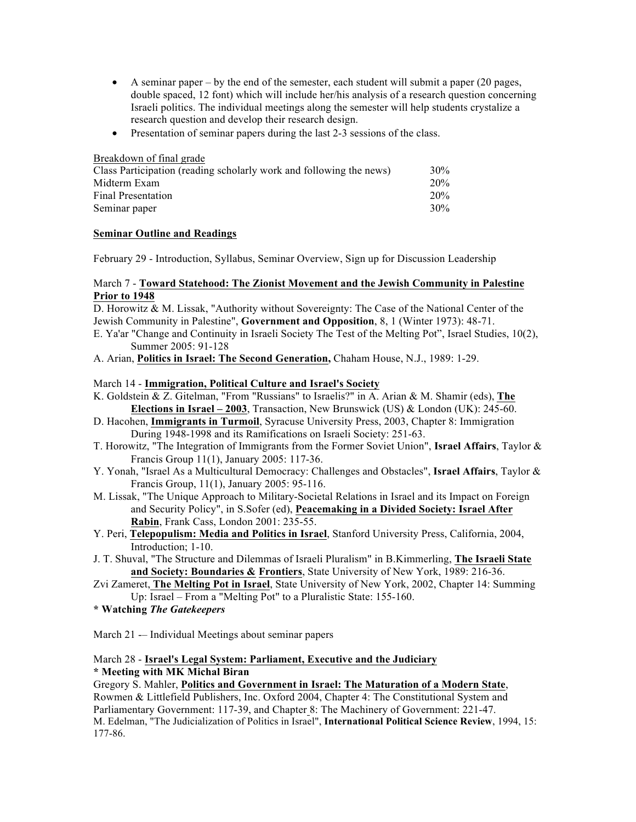- A seminar paper by the end of the semester, each student will submit a paper  $(20 \text{ pages},$ double spaced, 12 font) which will include her/his analysis of a research question concerning Israeli politics. The individual meetings along the semester will help students crystalize a research question and develop their research design.
- Presentation of seminar papers during the last 2-3 sessions of the class.

| Breakdown of final grade                                            |     |
|---------------------------------------------------------------------|-----|
| Class Participation (reading scholarly work and following the news) | 30% |
| Midterm Exam                                                        | 20% |
| Final Presentation                                                  | 20% |
| Seminar paper                                                       | 30% |

# **Seminar Outline and Readings**

February 29 - Introduction, Syllabus, Seminar Overview, Sign up for Discussion Leadership

## March 7 - **Toward Statehood: The Zionist Movement and the Jewish Community in Palestine Prior to 1948**

D. Horowitz & M. Lissak, "Authority without Sovereignty: The Case of the National Center of the Jewish Community in Palestine", **Government and Opposition**, 8, 1 (Winter 1973): 48-71.

E. Ya'ar "Change and Continuity in Israeli Society The Test of the Melting Pot", Israel Studies, 10(2), Summer 2005: 91-128

A. Arian, **Politics in Israel: The Second Generation,** Chaham House, N.J., 1989: 1-29.

## March 14 - **Immigration, Political Culture and Israel's Society**

- K. Goldstein & Z. Gitelman, "From "Russians" to Israelis?" in A. Arian & M. Shamir (eds), **The Elections in Israel – 2003**, Transaction, New Brunswick (US) & London (UK): 245-60.
- D. Hacohen, **Immigrants in Turmoil**, Syracuse University Press, 2003, Chapter 8: Immigration During 1948-1998 and its Ramifications on Israeli Society: 251-63.
- T. Horowitz, "The Integration of Immigrants from the Former Soviet Union", **Israel Affairs**, Taylor & Francis Group 11(1), January 2005: 117-36.
- Y. Yonah, "Israel As a Multicultural Democracy: Challenges and Obstacles", **Israel Affairs**, Taylor & Francis Group, 11(1), January 2005: 95-116.
- M. Lissak, "The Unique Approach to Military-Societal Relations in Israel and its Impact on Foreign and Security Policy", in S.Sofer (ed), **Peacemaking in a Divided Society: Israel After Rabin**, Frank Cass, London 2001: 235-55.
- Y. Peri, **Telepopulism: Media and Politics in Israel**, Stanford University Press, California, 2004, Introduction; 1-10.
- J. T. Shuval, "The Structure and Dilemmas of Israeli Pluralism" in B.Kimmerling, **The Israeli State and Society: Boundaries & Frontiers**, State University of New York, 1989: 216-36.
- Zvi Zameret, **The Melting Pot in Israel**, State University of New York, 2002, Chapter 14: Summing Up: Israel – From a "Melting Pot" to a Pluralistic State: 155-160.
- **\* Watching** *The Gatekeepers*

March 21 -– Individual Meetings about seminar papers

# March 28 - **Israel's Legal System: Parliament, Executive and the Judiciary \* Meeting with MK Michal Biran**

Gregory S. Mahler, **Politics and Government in Israel: The Maturation of a Modern State**, Rowmen & Littlefield Publishers, Inc. Oxford 2004, Chapter 4: The Constitutional System and Parliamentary Government: 117-39, and Chapter 8: The Machinery of Government: 221-47. M. Edelman, "The Judicialization of Politics in Israel", **International Political Science Review**, 1994, 15: 177-86.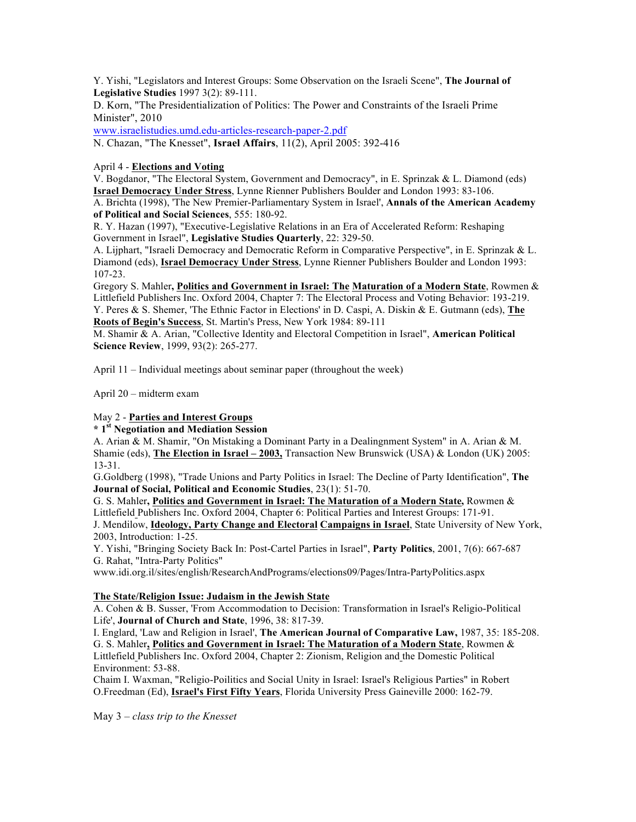Y. Yishi, "Legislators and Interest Groups: Some Observation on the Israeli Scene", **The Journal of Legislative Studies** 1997 3(2): 89-111.

D. Korn, "The Presidentialization of Politics: The Power and Constraints of the Israeli Prime Minister", 2010

www.israelistudies.umd.edu-articles-research-paper-2.pdf

N. Chazan, "The Knesset", **Israel Affairs**, 11(2), April 2005: 392-416

April 4 - **Elections and Voting**

V. Bogdanor, "The Electoral System, Government and Democracy", in E. Sprinzak & L. Diamond (eds) **Israel Democracy Under Stress**, Lynne Rienner Publishers Boulder and London 1993: 83-106.

A. Brichta (1998), 'The New Premier-Parliamentary System in Israel', **Annals of the American Academy of Political and Social Sciences**, 555: 180-92.

R. Y. Hazan (1997), "Executive-Legislative Relations in an Era of Accelerated Reform: Reshaping Government in Israel", **Legislative Studies Quarterly**, 22: 329-50.

A. Lijphart, "Israeli Democracy and Democratic Reform in Comparative Perspective", in E. Sprinzak & L. Diamond (eds), **Israel Democracy Under Stress**, Lynne Rienner Publishers Boulder and London 1993: 107-23.

Gregory S. Mahler**, Politics and Government in Israel: The Maturation of a Modern State**, Rowmen & Littlefield Publishers Inc. Oxford 2004, Chapter 7: The Electoral Process and Voting Behavior: 193-219. Y. Peres & S. Shemer, 'The Ethnic Factor in Elections' in D. Caspi, A. Diskin & E. Gutmann (eds), **The Roots of Begin's Success**, St. Martin's Press, New York 1984: 89-111

M. Shamir & A. Arian, "Collective Identity and Electoral Competition in Israel", **American Political Science Review**, 1999, 93(2): 265-277.

April 11 – Individual meetings about seminar paper (throughout the week)

April 20 – midterm exam

## May 2 - **Parties and Interest Groups**

### **\* 1st Negotiation and Mediation Session**

A. Arian & M. Shamir, "On Mistaking a Dominant Party in a Dealingnment System" in A. Arian & M. Shamie (eds), **The Election in Israel – 2003,** Transaction New Brunswick (USA) & London (UK) 2005: 13-31.

G.Goldberg (1998), "Trade Unions and Party Politics in Israel: The Decline of Party Identification", **The Journal of Social, Political and Economic Studies**, 23(1): 51-70.

G. S. Mahler**, Politics and Government in Israel: The Maturation of a Modern State,** Rowmen & Littlefield Publishers Inc. Oxford 2004, Chapter 6: Political Parties and Interest Groups: 171-91.

J. Mendilow, **Ideology, Party Change and Electoral Campaigns in Israel**, State University of New York, 2003, Introduction: 1-25.

Y. Yishi, "Bringing Society Back In: Post-Cartel Parties in Israel", **Party Politics**, 2001, 7(6): 667-687 G. Rahat, "Intra-Party Politics"

www.idi.org.il/sites/english/ResearchAndPrograms/elections09/Pages/Intra-PartyPolitics.aspx

#### **The State/Religion Issue: Judaism in the Jewish State**

A. Cohen & B. Susser, 'From Accommodation to Decision: Transformation in Israel's Religio-Political Life', **Journal of Church and State**, 1996, 38: 817-39.

I. Englard, 'Law and Religion in Israel', **The American Journal of Comparative Law,** 1987, 35: 185-208. G. S. Mahler**, Politics and Government in Israel: The Maturation of a Modern State**, Rowmen & Littlefield Publishers Inc. Oxford 2004, Chapter 2: Zionism, Religion and the Domestic Political Environment: 53-88.

Chaim I. Waxman, "Religio-Poilitics and Social Unity in Israel: Israel's Religious Parties" in Robert O.Freedman (Ed), **Israel's First Fifty Years**, Florida University Press Gaineville 2000: 162-79.

May 3 – *class trip to the Knesset*